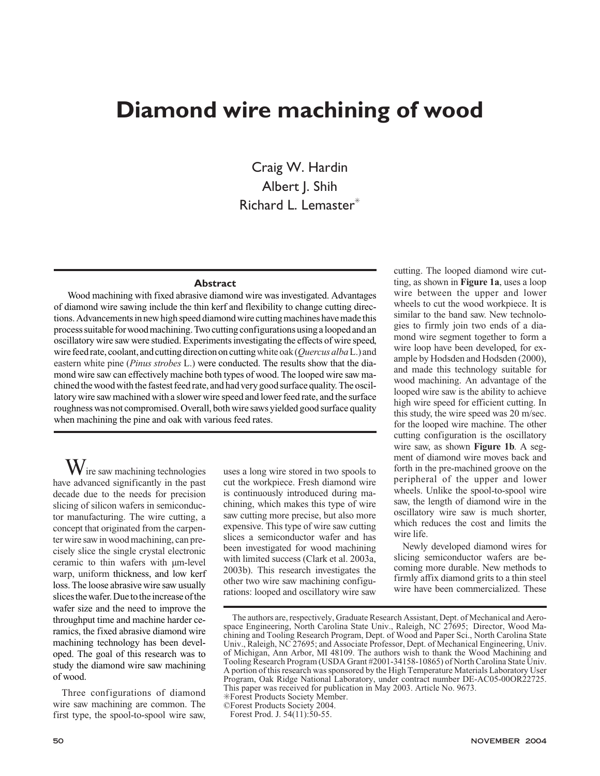# **Diamond wire machining of wood**

Craig W. Hardin Albert J. Shih Richard L. Lemaster<sup>\*</sup>

## **Abstract**

Wood machining with fixed abrasive diamond wire was investigated. Advantages of diamond wire sawing include the thin kerf and flexibility to change cutting directions. Advancements in new high speed diamond wire cutting machines have made this process suitable for wood machining. Two cutting configurations using a looped and an oscillatory wire saw were studied. Experiments investigating the effects of wire speed, wirefeedrate,coolant,andcuttingdirectiononcuttingwhiteoak(*Quercus alba*L.)and eastern white pine (*Pinus strobes* L.) were conducted. The results show that the diamond wire saw can effectively machine both types of wood. The looped wire saw machined the wood with the fastest feed rate, and had very good surface quality. The oscillatory wire saw machined with a slower wire speed and lower feed rate, and the surface roughness was not compromised. Overall, both wire saws yielded good surface quality when machining the pine and oak with various feed rates.

 $\mathrm{W}_{\mathrm{ire}}$  saw machining technologies have advanced significantly in the past decade due to the needs for precision slicing of silicon wafers in semiconductor manufacturing. The wire cutting, a concept that originated from the carpenter wire saw in wood machining, can precisely slice the single crystal electronic ceramic to thin wafers with µm-level warp, uniform thickness, and low kerf loss. The loose abrasive wire saw usually slices the wafer. Due to the increase of the wafer size and the need to improve the throughput time and machine harder ceramics, the fixed abrasive diamond wire machining technology has been developed. The goal of this research was to study the diamond wire saw machining of wood.

Three configurations of diamond wire saw machining are common. The first type, the spool-to-spool wire saw, uses a long wire stored in two spools to cut the workpiece. Fresh diamond wire is continuously introduced during machining, which makes this type of wire saw cutting more precise, but also more expensive. This type of wire saw cutting slices a semiconductor wafer and has been investigated for wood machining with limited success (Clark et al. 2003a, 2003b). This research investigates the other two wire saw machining configurations: looped and oscillatory wire saw

cutting. The looped diamond wire cutting, as shown in **Figure 1a**, uses a loop wire between the upper and lower wheels to cut the wood workpiece. It is similar to the band saw. New technologies to firmly join two ends of a diamond wire segment together to form a wire loop have been developed, for example by Hodsden and Hodsden (2000), and made this technology suitable for wood machining. An advantage of the looped wire saw is the ability to achieve high wire speed for efficient cutting. In this study, the wire speed was 20 m/sec. for the looped wire machine. The other cutting configuration is the oscillatory wire saw, as shown **Figure 1b**. A segment of diamond wire moves back and forth in the pre-machined groove on the peripheral of the upper and lower wheels. Unlike the spool-to-spool wire saw, the length of diamond wire in the oscillatory wire saw is much shorter, which reduces the cost and limits the wire life.

Newly developed diamond wires for slicing semiconductor wafers are becoming more durable. New methods to firmly affix diamond grits to a thin steel wire have been commercialized. These

©Forest Products Society 2004.

Forest Prod. J. 54(11):50-55.

The authors are, respectively, Graduate Research Assistant, Dept. of Mechanical and Aerospace Engineering, North Carolina State Univ., Raleigh, NC 27695; Director, Wood Machining and Tooling Research Program, Dept. of Wood and Paper Sci., North Carolina State Univ., Raleigh, NC 27695; and Associate Professor, Dept. of Mechanical Engineering, Univ. of Michigan, Ann Arbor, MI 48109. The authors wish to thank the Wood Machining and Tooling Research Program (USDA Grant #2001-34158-10865) of North Carolina State Univ. A portion of this research was sponsored by the High Temperature Materials Laboratory User Program, Oak Ridge National Laboratory, under contract number DE-AC05-00OR22725. This paper was received for publication in May 2003. Article No. 9673. ✳Forest Products Society Member.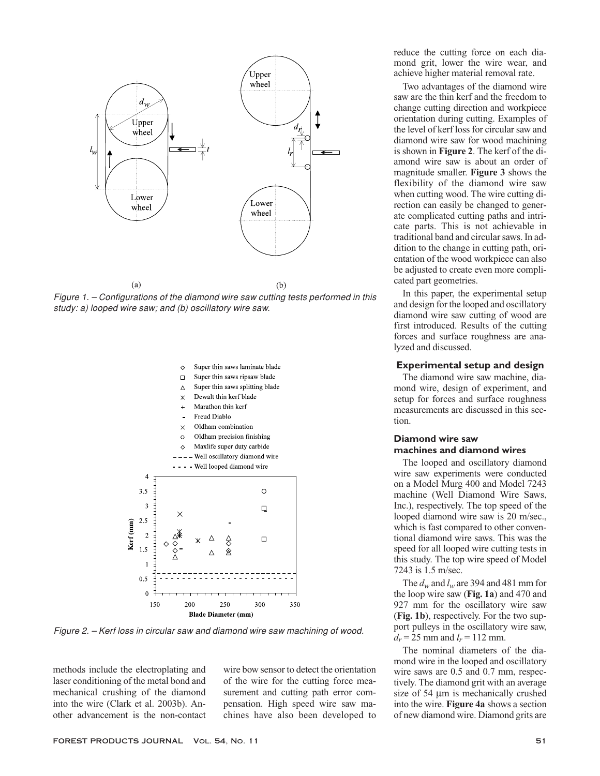

*Figure 1. – Configurations of the diamond wire saw cutting tests performed in this study: a) looped wire saw; and (b) oscillatory wire saw.*



*Figure 2. – Kerf loss in circular saw and diamond wire saw machining of wood.*

methods include the electroplating and laser conditioning of the metal bond and mechanical crushing of the diamond into the wire (Clark et al. 2003b). Another advancement is the non-contact wire bow sensor to detect the orientation of the wire for the cutting force measurement and cutting path error compensation. High speed wire saw machines have also been developed to reduce the cutting force on each diamond grit, lower the wire wear, and achieve higher material removal rate.

Two advantages of the diamond wire saw are the thin kerf and the freedom to change cutting direction and workpiece orientation during cutting. Examples of the level of kerf loss for circular saw and diamond wire saw for wood machining is shown in **Figure 2**. The kerf of the diamond wire saw is about an order of magnitude smaller. **Figure 3** shows the flexibility of the diamond wire saw when cutting wood. The wire cutting direction can easily be changed to generate complicated cutting paths and intricate parts. This is not achievable in traditional band and circular saws. In addition to the change in cutting path, orientation of the wood workpiece can also be adjusted to create even more complicated part geometries.

In this paper, the experimental setup and design for the looped and oscillatory diamond wire saw cutting of wood are first introduced. Results of the cutting forces and surface roughness are analyzed and discussed.

### **Experimental setup and design**

The diamond wire saw machine, diamond wire, design of experiment, and setup for forces and surface roughness measurements are discussed in this section.

# **Diamond wire saw machines and diamond wires**

The looped and oscillatory diamond wire saw experiments were conducted on a Model Murg 400 and Model 7243 machine (Well Diamond Wire Saws, Inc.), respectively. The top speed of the looped diamond wire saw is 20 m/sec., which is fast compared to other conventional diamond wire saws. This was the speed for all looped wire cutting tests in this study. The top wire speed of Model 7243 is 1.5 m/sec.

The  $d_w$  and  $l_w$  are 394 and 481 mm for the loop wire saw (**Fig. 1a**) and 470 and 927 mm for the oscillatory wire saw (**Fig. 1b**), respectively. For the two support pulleys in the oscillatory wire saw,  $d_r = 25$  mm and  $l_r = 112$  mm.

The nominal diameters of the diamond wire in the looped and oscillatory wire saws are 0.5 and 0.7 mm, respectively. The diamond grit with an average size of 54  $\mu$ m is mechanically crushed into the wire. **Figure 4a** shows a section of new diamond wire. Diamond grits are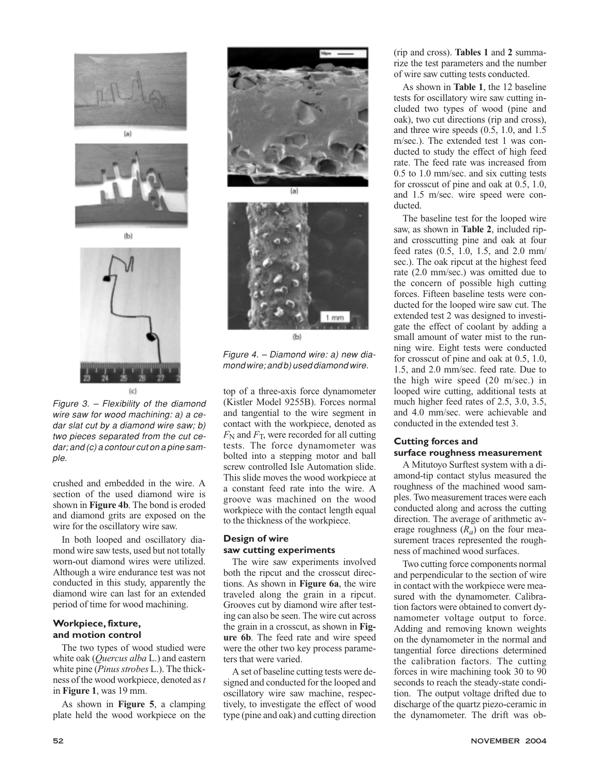



 $(b)$ 

 $(c)$ 

*Figure 3. – Flexibility of the diamond wire saw for wood machining: a) a cedar slat cut by a diamond wire saw; b) two pieces separated from the cut cedar; and (c) a contour cut on a pine sample.*

crushed and embedded in the wire. A section of the used diamond wire is shown in **Figure 4b**. The bond is eroded and diamond grits are exposed on the wire for the oscillatory wire saw.

In both looped and oscillatory diamond wire saw tests, used but not totally worn-out diamond wires were utilized. Although a wire endurance test was not conducted in this study, apparently the diamond wire can last for an extended period of time for wood machining.

# **Workpiece, fixture, and motion control**

The two types of wood studied were white oak (*Quercus alba* L.) and eastern white pine (*Pinus strobes* L.). The thickness of the wood workpiece, denoted as*t* in **Figure 1**, was 19 mm.

As shown in **Figure 5**, a clamping plate held the wood workpiece on the





*Figure 4. – Diamond wire: a) new diamond wire; and b) used diamond wire.*

top of a three-axis force dynamometer (Kistler Model 9255B). Forces normal and tangential to the wire segment in contact with the workpiece, denoted as  $F_N$  and  $F_T$ , were recorded for all cutting tests. The force dynamometer was bolted into a stepping motor and ball screw controlled Isle Automation slide. This slide moves the wood workpiece at a constant feed rate into the wire. A groove was machined on the wood workpiece with the contact length equal to the thickness of the workpiece.

# **Design of wire saw cutting experiments**

The wire saw experiments involved both the ripcut and the crosscut directions. As shown in **Figure 6a**, the wire traveled along the grain in a ripcut. Grooves cut by diamond wire after testing can also be seen. The wire cut across the grain in a crosscut, as shown in **Figure 6b**. The feed rate and wire speed were the other two key process parameters that were varied.

A set of baseline cutting tests were designed and conducted for the looped and oscillatory wire saw machine, respectively, to investigate the effect of wood type (pine and oak) and cutting direction (rip and cross). **Tables 1** and **2** summarize the test parameters and the number of wire saw cutting tests conducted.

As shown in **Table 1**, the 12 baseline tests for oscillatory wire saw cutting included two types of wood (pine and oak), two cut directions (rip and cross), and three wire speeds (0.5, 1.0, and 1.5 m/sec.). The extended test 1 was conducted to study the effect of high feed rate. The feed rate was increased from 0.5 to 1.0 mm/sec. and six cutting tests for crosscut of pine and oak at 0.5, 1.0, and 1.5 m/sec. wire speed were conducted.

The baseline test for the looped wire saw, as shown in **Table 2**, included ripand crosscutting pine and oak at four feed rates (0.5, 1.0, 1.5, and 2.0 mm/ sec.). The oak ripcut at the highest feed rate (2.0 mm/sec.) was omitted due to the concern of possible high cutting forces. Fifteen baseline tests were conducted for the looped wire saw cut. The extended test 2 was designed to investigate the effect of coolant by adding a small amount of water mist to the running wire. Eight tests were conducted for crosscut of pine and oak at 0.5, 1.0, 1.5, and 2.0 mm/sec. feed rate. Due to the high wire speed (20 m/sec.) in looped wire cutting, additional tests at much higher feed rates of 2.5, 3.0, 3.5, and 4.0 mm/sec. were achievable and conducted in the extended test 3.

# **Cutting forces and**

## **surface roughness measurement**

A Mitutoyo Surftest system with a diamond-tip contact stylus measured the roughness of the machined wood samples. Two measurement traces were each conducted along and across the cutting direction. The average of arithmetic average roughness  $(R_a)$  on the four measurement traces represented the roughness of machined wood surfaces.

Two cutting force components normal and perpendicular to the section of wire in contact with the workpiece were measured with the dynamometer. Calibration factors were obtained to convert dynamometer voltage output to force. Adding and removing known weights on the dynamometer in the normal and tangential force directions determined the calibration factors. The cutting forces in wire machining took 30 to 90 seconds to reach the steady-state condition. The output voltage drifted due to discharge of the quartz piezo-ceramic in the dynamometer. The drift was ob-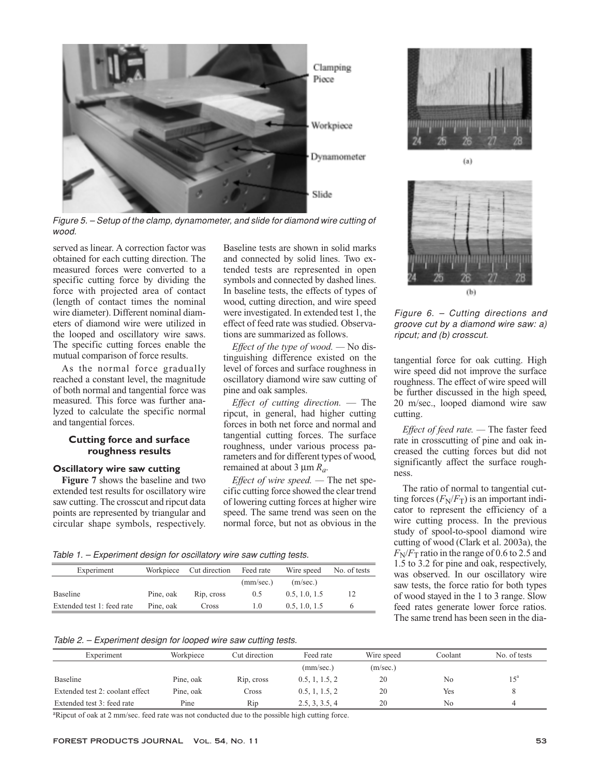

*Figure 5. – Setup of the clamp, dynamometer, and slide for diamond wire cutting of wood.*

served as linear. A correction factor was obtained for each cutting direction. The measured forces were converted to a specific cutting force by dividing the force with projected area of contact (length of contact times the nominal wire diameter). Different nominal diameters of diamond wire were utilized in the looped and oscillatory wire saws. The specific cutting forces enable the mutual comparison of force results.

As the normal force gradually reached a constant level, the magnitude of both normal and tangential force was measured. This force was further analyzed to calculate the specific normal and tangential forces.

## **Cutting force and surface roughness results**

## **Oscillatory wire saw cutting**

**Figure 7** shows the baseline and two extended test results for oscillatory wire saw cutting. The crosscut and ripcut data points are represented by triangular and circular shape symbols, respectively. Baseline tests are shown in solid marks and connected by solid lines. Two extended tests are represented in open symbols and connected by dashed lines. In baseline tests, the effects of types of wood, cutting direction, and wire speed were investigated. In extended test 1, the effect of feed rate was studied. Observations are summarized as follows.

*Effect of the type of wood. —* No distinguishing difference existed on the level of forces and surface roughness in oscillatory diamond wire saw cutting of pine and oak samples.

*Effect of cutting direction.* — The ripcut, in general, had higher cutting forces in both net force and normal and tangential cutting forces. The surface roughness, under various process parameters and for different types of wood, remained at about 3  $\mu$ m  $R_a$ .

*Effect of wire speed. —* The net specific cutting force showed the clear trend of lowering cutting forces at higher wire speed. The same trend was seen on the normal force, but not as obvious in the



 $(a)$ 



*Figure 6. – Cutting directions and groove cut by a diamond wire saw: a) ripcut; and (b) crosscut.*

tangential force for oak cutting. High wire speed did not improve the surface roughness. The effect of wire speed will be further discussed in the high speed, 20 m/sec., looped diamond wire saw cutting.

*Effect of feed rate. —* The faster feed rate in crosscutting of pine and oak increased the cutting forces but did not significantly affect the surface roughness.

The ratio of normal to tangential cutting forces  $(F_N/F_T)$  is an important indicator to represent the efficiency of a wire cutting process. In the previous study of spool-to-spool diamond wire cutting of wood (Clark et al. 2003a), the  $F_N/F_T$  ratio in the range of 0.6 to 2.5 and 1.5 to 3.2 for pine and oak, respectively, was observed. In our oscillatory wire saw tests, the force ratio for both types of wood stayed in the 1 to 3 range. Slow feed rates generate lower force ratios. The same trend has been seen in the dia-

*Table 1. – Experiment design for oscillatory wire saw cutting tests.*

| Experiment                 | Workpiece | Cut direction | Feed rate | Wire speed    | No. of tests |
|----------------------------|-----------|---------------|-----------|---------------|--------------|
|                            |           |               | (mm/sec.) | (m/sec.)      |              |
| Baseline                   | Pine, oak | Rip. cross    | 0.5       | 0.5, 1.0, 1.5 | 12           |
| Extended test 1: feed rate | Pine, oak | Cross         | 1.0       | 0.5, 1.0, 1.5 | 6            |

*Table 2. – Experiment design for looped wire saw cutting tests.*

| Experiment                      | Workpiece | Cut direction | Feed rate      | Wire speed | Coolant | No. of tests |
|---------------------------------|-----------|---------------|----------------|------------|---------|--------------|
|                                 |           |               | (mm/sec.)      | (m/sec.)   |         |              |
| Baseline                        | Pine, oak | Rip, cross    | 0.5, 1, 1.5, 2 | 20         | No      | $15^{\circ}$ |
| Extended test 2: coolant effect | Pine, oak | Cross         | 0.5, 1, 1.5, 2 | 20         | Yes     | 8            |
| Extended test 3: feed rate      | Pine      | Rip           | 2.5, 3, 3.5, 4 | 20         | No      | 4            |

<sup>a</sup>Ripcut of oak at 2 mm/sec. feed rate was not conducted due to the possible high cutting force.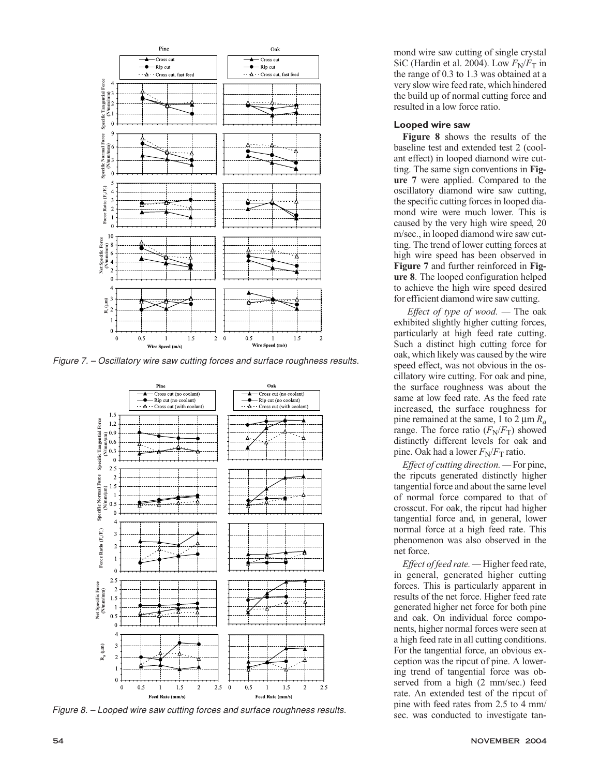

*Figure 7. – Oscillatory wire saw cutting forces and surface roughness results.*



*Figure 8. – Looped wire saw cutting forces and surface roughness results.*

mond wire saw cutting of single crystal SiC (Hardin et al. 2004). Low  $F_N/F_T$  in the range of 0.3 to 1.3 was obtained at a very slow wire feed rate, which hindered the build up of normal cutting force and resulted in a low force ratio.

## **Looped wire saw**

**Figure 8** shows the results of the baseline test and extended test 2 (coolant effect) in looped diamond wire cutting. The same sign conventions in **Figure 7** were applied. Compared to the oscillatory diamond wire saw cutting, the specific cutting forces in looped diamond wire were much lower. This is caused by the very high wire speed, 20 m/sec., in looped diamond wire saw cutting. The trend of lower cutting forces at high wire speed has been observed in **Figure 7** and further reinforced in **Figure 8**. The looped configuration helped to achieve the high wire speed desired for efficient diamond wire saw cutting.

*Effect of type of wood. —* The oak exhibited slightly higher cutting forces, particularly at high feed rate cutting. Such a distinct high cutting force for oak, which likely was caused by the wire speed effect, was not obvious in the oscillatory wire cutting. For oak and pine, the surface roughness was about the same at low feed rate. As the feed rate increased, the surface roughness for pine remained at the same, 1 to 2  $\mu$ m  $R_a$ range. The force ratio  $(F_N/F_T)$  showed distinctly different levels for oak and pine. Oak had a lower  $F_N/F_T$  ratio.

*Effect of cutting direction. —* For pine, the ripcuts generated distinctly higher tangential force and about the same level of normal force compared to that of crosscut. For oak, the ripcut had higher tangential force and, in general, lower normal force at a high feed rate. This phenomenon was also observed in the net force.

*Effect of feed rate. —* Higher feed rate, in general, generated higher cutting forces. This is particularly apparent in results of the net force. Higher feed rate generated higher net force for both pine and oak. On individual force components, higher normal forces were seen at a high feed rate in all cutting conditions. For the tangential force, an obvious exception was the ripcut of pine. A lowering trend of tangential force was observed from a high (2 mm/sec.) feed rate. An extended test of the ripcut of pine with feed rates from 2.5 to 4 mm/ sec. was conducted to investigate tan-